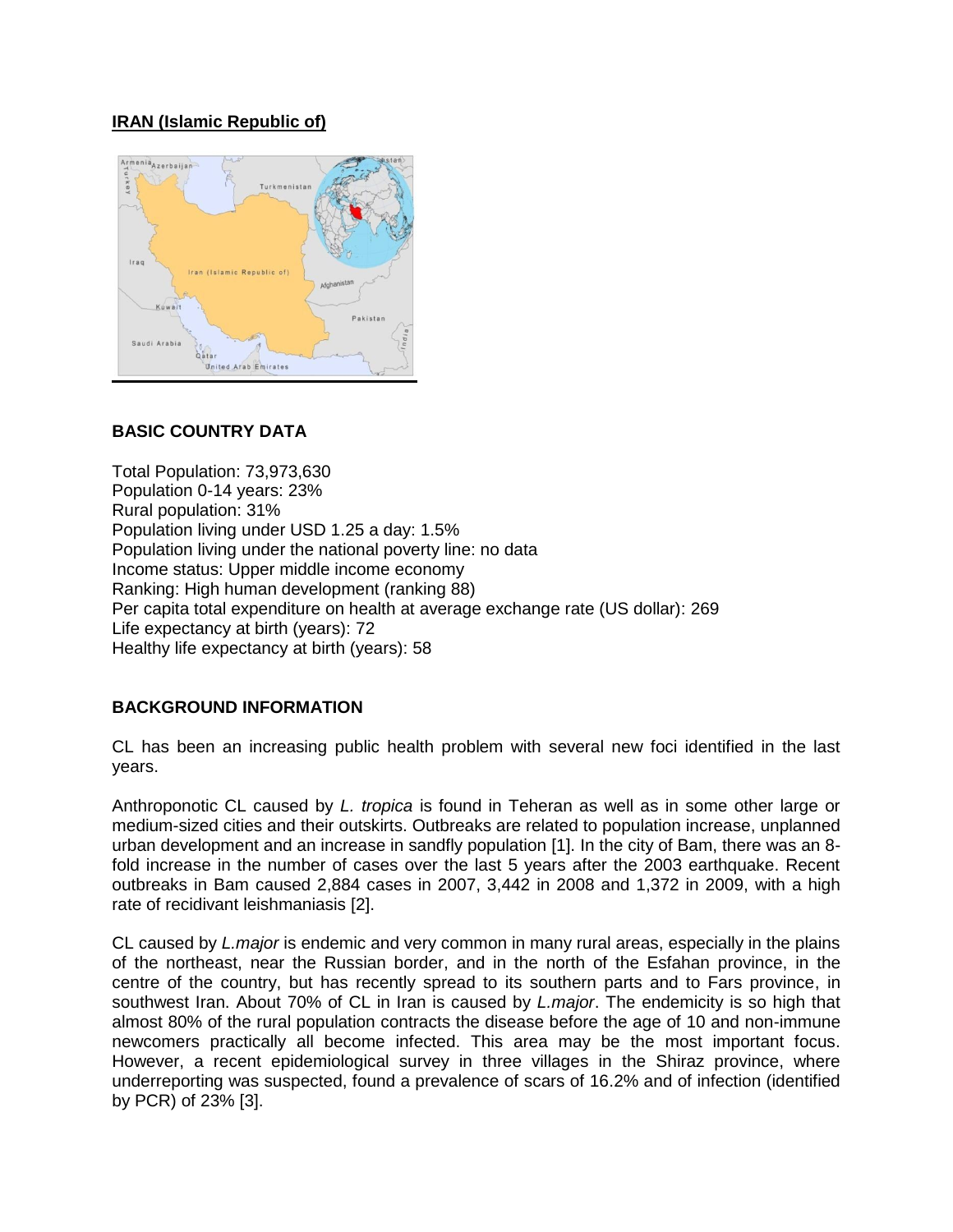## **IRAN (Islamic Republic of)**



# **BASIC COUNTRY DATA**

Total Population: 73,973,630 Population 0-14 years: 23% Rural population: 31% Population living under USD 1.25 a day: 1.5% Population living under the national poverty line: no data Income status: Upper middle income economy Ranking: High human development (ranking 88) Per capita total expenditure on health at average exchange rate (US dollar): 269 Life expectancy at birth (years): 72 Healthy life expectancy at birth (years): 58

## **BACKGROUND INFORMATION**

CL has been an increasing public health problem with several new foci identified in the last years.

Anthroponotic CL caused by *L. tropica* is found in Teheran as well as in some other large or medium-sized cities and their outskirts. Outbreaks are related to population increase, unplanned urban development and an increase in sandfly population [1]. In the city of Bam, there was an 8 fold increase in the number of cases over the last 5 years after the 2003 earthquake. Recent outbreaks in Bam caused 2,884 cases in 2007, 3,442 in 2008 and 1,372 in 2009, with a high rate of recidivant leishmaniasis [2].

CL caused by *L.major* is endemic and very common in many rural areas, especially in the plains of the northeast, near the Russian border, and in the north of the Esfahan province, in the centre of the country, but has recently spread to its southern parts and to Fars province, in southwest Iran. About 70% of CL in Iran is caused by *L.major*. The endemicity is so high that almost 80% of the rural population contracts the disease before the age of 10 and non-immune newcomers practically all become infected. This area may be the most important focus. However, a recent epidemiological survey in three villages in the Shiraz province, where underreporting was suspected, found a prevalence of scars of 16.2% and of infection (identified by PCR) of 23% [3].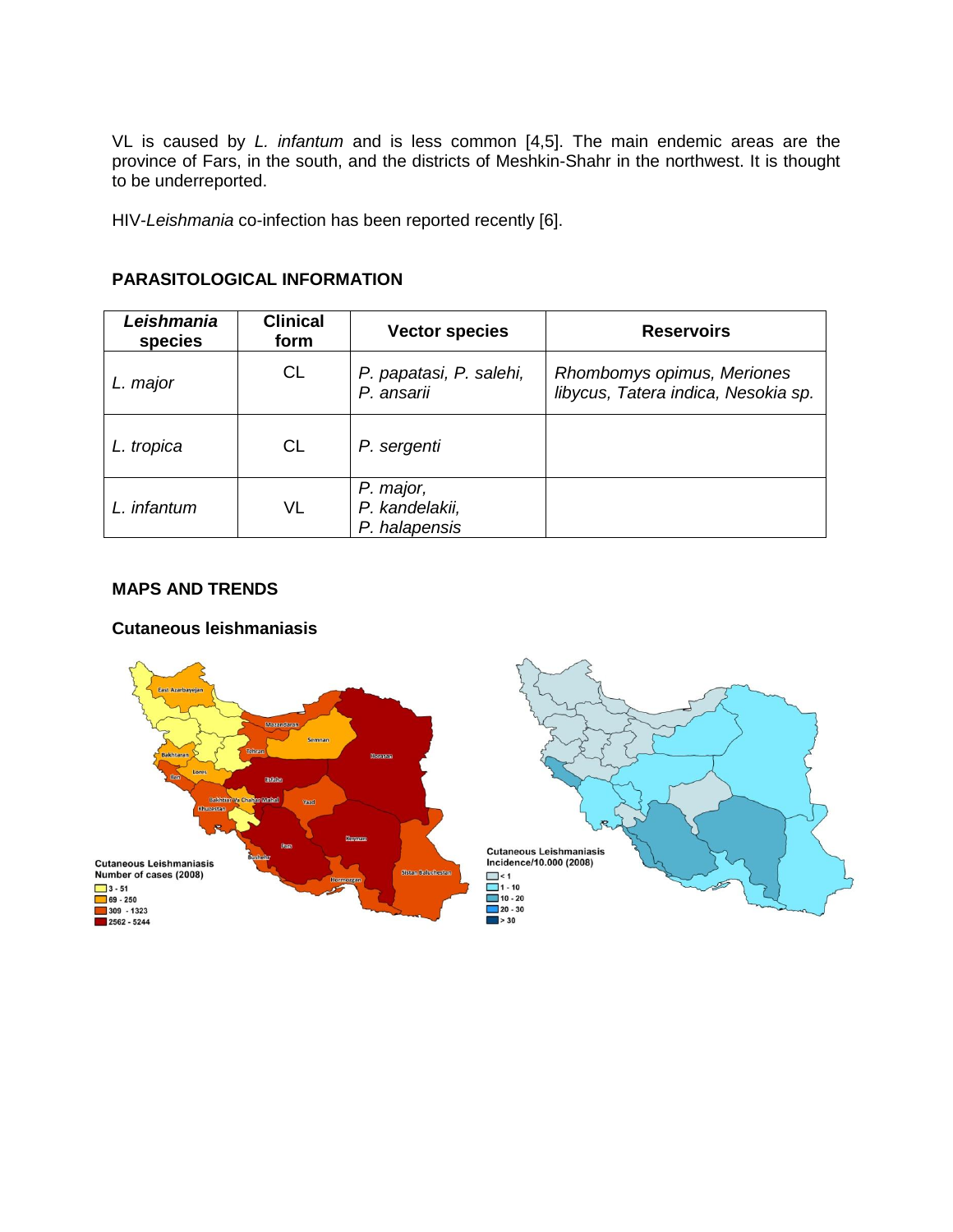VL is caused by *L. infantum* and is less common [4,5]. The main endemic areas are the province of Fars, in the south, and the districts of Meshkin-Shahr in the northwest. It is thought to be underreported.

HIV-*Leishmania* co-infection has been reported recently [6].

| Leishmania<br>species | <b>Clinical</b><br>form | <b>Vector species</b>                        | <b>Reservoirs</b>                                                 |
|-----------------------|-------------------------|----------------------------------------------|-------------------------------------------------------------------|
| L. major              | <b>CL</b>               | P. papatasi, P. salehi,<br>P. ansarii        | Rhombomys opimus, Meriones<br>libycus, Tatera indica, Nesokia sp. |
| L. tropica            | <b>CL</b>               | P. sergenti                                  |                                                                   |
| L. infantum           | VL                      | P. major,<br>P. kandelakii,<br>P. halapensis |                                                                   |

# **PARASITOLOGICAL INFORMATION**

#### **MAPS AND TRENDS**

#### **Cutaneous leishmaniasis**

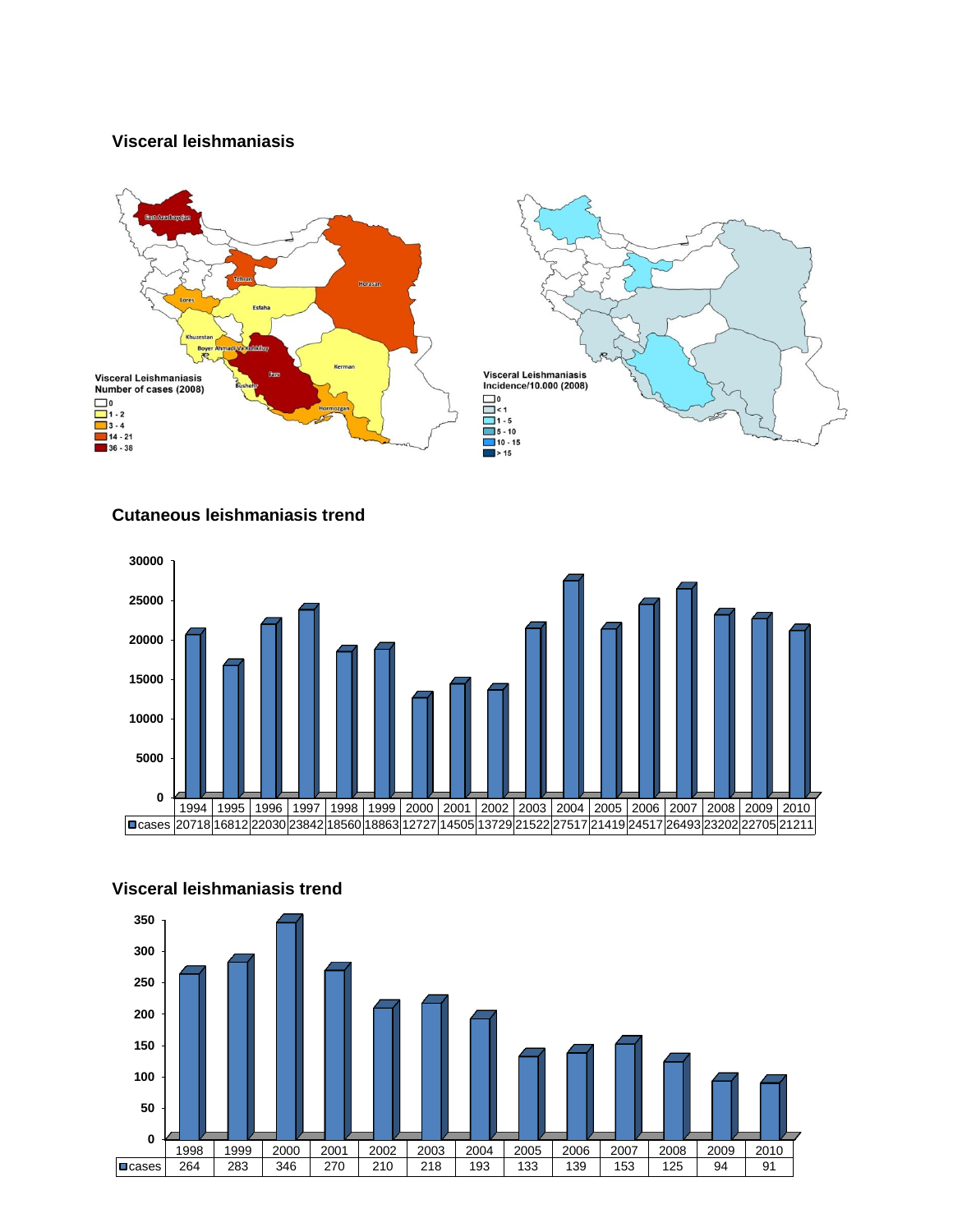## **Visceral leishmaniasis**



#### **Cutaneous leishmaniasis trend**





#### **Visceral leishmaniasis trend**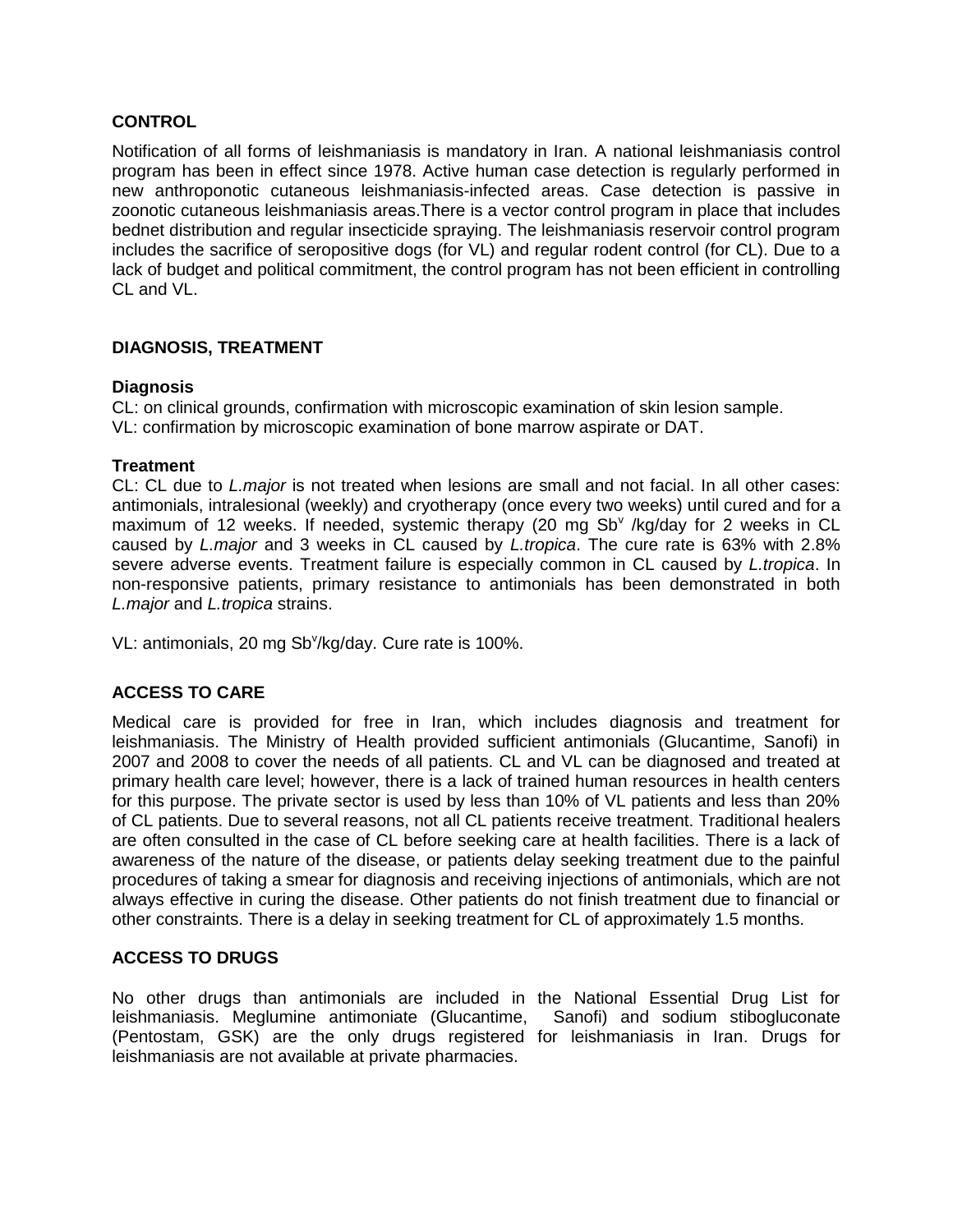#### **CONTROL**

Notification of all forms of leishmaniasis is mandatory in Iran. A national leishmaniasis control program has been in effect since 1978. Active human case detection is regularly performed in new anthroponotic cutaneous leishmaniasis-infected areas. Case detection is passive in zoonotic cutaneous leishmaniasis areas.There is a vector control program in place that includes bednet distribution and regular insecticide spraying. The leishmaniasis reservoir control program includes the sacrifice of seropositive dogs (for VL) and regular rodent control (for CL). Due to a lack of budget and political commitment, the control program has not been efficient in controlling CL and VL.

## **DIAGNOSIS, TREATMENT**

#### **Diagnosis**

CL: on clinical grounds, confirmation with microscopic examination of skin lesion sample. VL: confirmation by microscopic examination of bone marrow aspirate or DAT.

#### **Treatment**

CL: CL due to *L.major* is not treated when lesions are small and not facial. In all other cases: antimonials, intralesional (weekly) and cryotherapy (once every two weeks) until cured and for a maximum of 12 weeks. If needed, systemic therapy (20 mg Sb<sup>v</sup> /kg/day for 2 weeks in CL caused by *L.major* and 3 weeks in CL caused by *L.tropica*. The cure rate is 63% with 2.8% severe adverse events. Treatment failure is especially common in CL caused by *L.tropica*. In non-responsive patients, primary resistance to antimonials has been demonstrated in both *L.major* and *L.tropica* strains.

VL: antimonials, 20 mg Sb<sup>v</sup>/kg/day. Cure rate is 100%.

## **ACCESS TO CARE**

Medical care is provided for free in Iran, which includes diagnosis and treatment for leishmaniasis. The Ministry of Health provided sufficient antimonials (Glucantime, Sanofi) in 2007 and 2008 to cover the needs of all patients. CL and VL can be diagnosed and treated at primary health care level; however, there is a lack of trained human resources in health centers for this purpose. The private sector is used by less than 10% of VL patients and less than 20% of CL patients. Due to several reasons, not all CL patients receive treatment. Traditional healers are often consulted in the case of CL before seeking care at health facilities. There is a lack of awareness of the nature of the disease, or patients delay seeking treatment due to the painful procedures of taking a smear for diagnosis and receiving injections of antimonials, which are not always effective in curing the disease. Other patients do not finish treatment due to financial or other constraints. There is a delay in seeking treatment for CL of approximately 1.5 months.

## **ACCESS TO DRUGS**

No other drugs than antimonials are included in the National Essential Drug List for leishmaniasis. Meglumine antimoniate (Glucantime, Sanofi) and sodium stibogluconate (Pentostam, GSK) are the only drugs registered for leishmaniasis in Iran. Drugs for leishmaniasis are not available at private pharmacies.